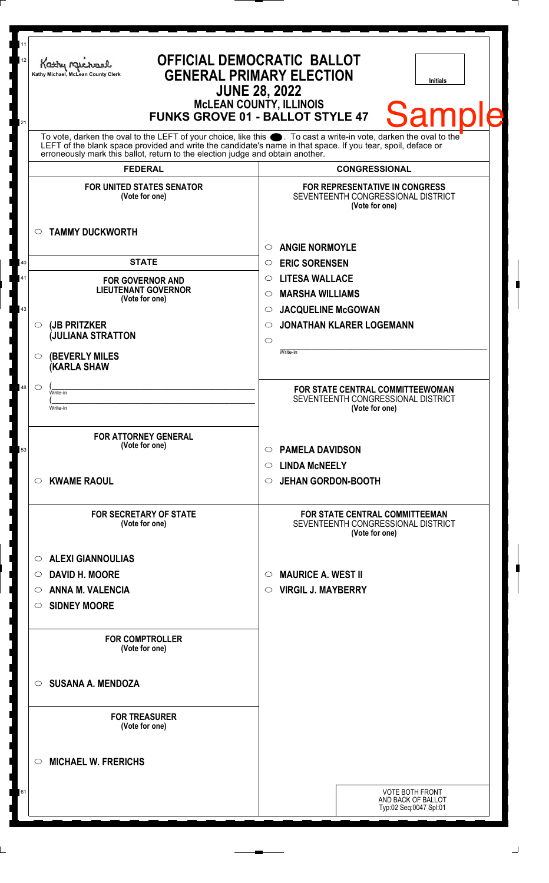| 11<br><b>OFFICIAL DEMOCRATIC BALLOT</b><br>12<br>Kathy Michael<br><b>GENERAL PRIMARY ELECTION</b><br>Kathy Michael, McLean County Clerk<br><b>Initials</b><br><b>JUNE 28, 2022</b><br><b>MCLEAN COUNTY, ILLINOIS</b><br><b>Samp</b><br><b>FUNKS GROVE 01 - BALLOT STYLE 47</b><br>21                                                                             |                                                                                                        |  |
|------------------------------------------------------------------------------------------------------------------------------------------------------------------------------------------------------------------------------------------------------------------------------------------------------------------------------------------------------------------|--------------------------------------------------------------------------------------------------------|--|
| To vote, darken the oval to the LEFT of your choice, like this $\bullet$ . To cast a write-in vote, darken the oval to the LEFT of the blank space provided and write the candidate's name in that space. If you tear, spoil, deface<br>erroneously mark this ballot, return to the election judge and obtain another.<br><b>FEDERAL</b><br><b>CONGRESSIONAL</b> |                                                                                                        |  |
| <b>FOR UNITED STATES SENATOR</b><br>(Vote for one)                                                                                                                                                                                                                                                                                                               | <b>FOR REPRESENTATIVE IN CONGRESS</b><br>SEVENTEENTH CONGRESSIONAL DISTRICT<br>(Vote for one)          |  |
| <b>TAMMY DUCKWORTH</b><br>$\circ$                                                                                                                                                                                                                                                                                                                                | <b>ANGIE NORMOYLE</b><br>$\circ$                                                                       |  |
| <b>STATE</b><br>40<br>41<br><b>FOR GOVERNOR AND</b><br><b>LIEUTENANT GOVERNOR</b><br>(Vote for one)                                                                                                                                                                                                                                                              | <b>ERIC SORENSEN</b><br>$\circ$<br><b>LITESA WALLACE</b><br>$\circ$<br><b>MARSHA WILLIAMS</b><br>◯     |  |
| 43<br>(JB PRITZKER<br>$\circ$<br><b>JULIANA STRATTON</b>                                                                                                                                                                                                                                                                                                         | <b>JACQUELINE McGOWAN</b><br>$\circ$<br><b>JONATHAN KLARER LOGEMANN</b><br>$\circ$<br>$\circ$          |  |
| <b>(BEVERLY MILES)</b><br>$\circ$<br><b>KARLA SHAW</b><br>48<br>$\circ$<br>Write-in                                                                                                                                                                                                                                                                              | Write-in<br>FOR STATE CENTRAL COMMITTEEWOMAN                                                           |  |
| Write-in<br><b>FOR ATTORNEY GENERAL</b>                                                                                                                                                                                                                                                                                                                          | SEVENTEENTH CONGRESSIONAL DISTRICT<br>(Vote for one)                                                   |  |
| (Vote for one)<br>53<br><b>KWAME RAOUL</b><br>$\circ$                                                                                                                                                                                                                                                                                                            | <b>PAMELA DAVIDSON</b><br>◯<br><b>LINDA MCNEELY</b><br>$\circ$<br><b>JEHAN GORDON-BOOTH</b><br>$\circ$ |  |
| <b>FOR SECRETARY OF STATE</b><br>(Vote for one)                                                                                                                                                                                                                                                                                                                  | <b>FOR STATE CENTRAL COMMITTEEMAN</b><br>SEVENTEENTH CONGRESSIONAL DISTRICT                            |  |
| <b>ALEXI GIANNOULIAS</b><br>$\circ$<br><b>DAVID H. MOORE</b><br>$\circ$<br><b>ANNA M. VALENCIA</b><br>O<br><b>SIDNEY MOORE</b><br>$\circ$                                                                                                                                                                                                                        | (Vote for one)<br><b>MAURICE A. WEST II</b><br>$\circ$<br><b>VIRGIL J. MAYBERRY</b><br>$\circ$         |  |
| <b>FOR COMPTROLLER</b><br>(Vote for one)                                                                                                                                                                                                                                                                                                                         |                                                                                                        |  |
| <b>SUSANA A. MENDOZA</b><br>◯                                                                                                                                                                                                                                                                                                                                    |                                                                                                        |  |
| <b>FOR TREASURER</b><br>(Vote for one)                                                                                                                                                                                                                                                                                                                           |                                                                                                        |  |
| <b>MICHAEL W. FRERICHS</b><br>◯                                                                                                                                                                                                                                                                                                                                  |                                                                                                        |  |
|                                                                                                                                                                                                                                                                                                                                                                  | <b>VOTE BOTH FRONT</b><br>AND BACK OF BALLOT<br>Typ:02 Seq:0047 Spl:01                                 |  |